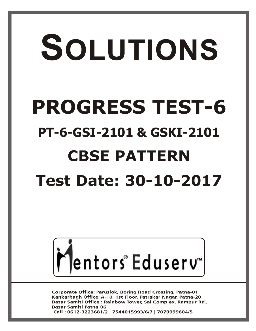# SOLUTIONS **PROGRESS TEST-6 PT-6-GSI-2101 & GSKI-2101 CBSE PATTERN Test Date: 30-10-2017**



**Corporate Office: Paruslok, Boring Road Crossing, Patna-01** Kankarbagh Office: A-10, 1st Floor, Patrakar Nagar, Patna-20 Bazar Samiti Office: Rainbow Tower, Sai Complex, Rampur Rd., **Bazar Samiti Patna-06** Call: 0612-3223681/2 | 7544015993/6/7 | 7070999604/5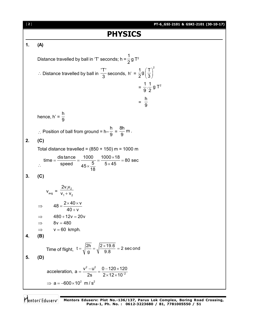**PT-6\_GSI-2101 & GSKI-2101 (30-10-17)** [ **2** ] **PHYSICS 1. (A)** Distance travelled by ball in 'T' seconds; h = 1  $\frac{1}{2}$ g T<sup>2</sup> ∴ Distance travelled by ball in  $\frac{17!}{3!}$  $\frac{1}{3}$  seconds, h' =  $\frac{1}{2}g\left(\frac{T}{2}\right)^2$  $\frac{1}{2}$ g $\left(\frac{1}{3}\right)^2$  $=\frac{1}{2} \cdot \frac{1}{2}$  g T<sup>2</sup> 9 2  $=$ h 9 hence, h' = h 9  $\therefore$  Position of ball from ground = h– h  $\frac{1}{9}$  =  $\frac{8h}{2}$  m . 9 **2. (C)** Total distance travelled =  $(850 + 150)$  m = 1000 m  $\ddot{\mathcal{L}}$ time =  $\frac{\text{distance}}{\text{time}} = \frac{1000}{5} = \frac{1000 \times 18}{5} = 80 \text{ sec}$ speed  $45 \times \frac{5}{18}$  5×45 18  $=\frac{\text{distance}}{\text{time}} = \frac{1000}{5} = \frac{1000 \times 18}{5 \times 15} = 8$  $\times \frac{5}{12}$  5 x **3. (C)**  $V_{avg} = \frac{\sum v_1 v_2}{V_1 + V_2}$ 1 ' ' 2  $2v_1v_2$  $V_1 + V_2$  $48 = \frac{2 \times 40 \times v}{12}$  $40 + v$  $\Rightarrow$  48 =  $\frac{2 \times 40 \times 1}{10}$  $^{+}$  $\Rightarrow$  480 + 12v = 20v  $\Rightarrow$  8v = 480  $\Rightarrow$  v = 60 kmph. **4. (B)** Time of flight,  $t = \sqrt{\frac{2h}{g}} = \sqrt{\frac{2 \times 19.6}{9.8}} = 2$  second g 9.8  $=\sqrt{\frac{2h}{n}}=\sqrt{\frac{2\times19.6}{9.8}}=2$ **5. (D)**  $2 \t1^2$ acceleration,  $a = \frac{v^2 - u^2}{2g} = \frac{0 - 120 \times 120}{2 \times 12 \times 10^{-2}}$ 2s  $2 \times 12 \times 10^{-7}$  $=\frac{v^2-u^2}{2}=\frac{0-120\times 1}{2\times 10^{-10}}$  $\times$ 12 $\times$ 1  $\Rightarrow$  a = -600 × 10<sup>2</sup> m / s<sup>2</sup>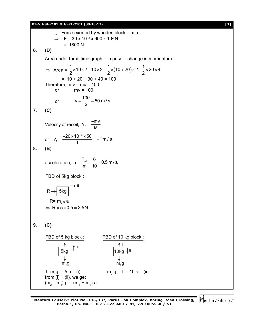#### **PT-6\_GSI-2101 & GSKI-2101 (30-10-17)** [ **3** ]

 $\therefore$  Force exerted by wooden block = m a  $\Rightarrow$  F = 30 x 10<sup>-3</sup> x 600 x 10<sup>2</sup> N  $= 1800 N$ . **6. (D)** Area under force time graph = impuse = change in momentum  $\Rightarrow$  Area =  $\frac{1}{2} \times 10 \times 2 + 10 \times 2 + \frac{1}{2} \times (10 + 20) \times 2 + \frac{1}{2} \times 20 \times 4$ 2  $2^{(2)}$  $\times$ 10 $\times$ 2 + 10 $\times$ 2 +  $\frac{1}{6}$  $\times$ (10 + 20) $\times$ 2+ $\frac{1}{6}$  $\times$ 20 $\times$ 4  $= 10 + 20 + 30 + 40 = 100$ Therefore,  $mv - mu = 100$ or  $mv = 100$ or  $v = \frac{100}{2} = 50$  m/s. 2  $=\frac{100}{2}$  = 5 **7. (C)** Velocity of recoil, v<sub>r</sub>  $v_r = \frac{-mv}{m}$ M  $=$  $\frac{-}{-}$ or 3  $v_r = \frac{-20 \times 10^{-3} \times 50}{4} = -1$  m / s 1  $=\frac{-20\times10^{-3}\times50}{1}=-1$ **8. (B)** acceleration,  $a = \frac{F_{\text{net}}}{F} = \frac{6}{40} = 0.5$  m/s. m 10  $=\frac{4.1}{10}$  =  $\frac{6.1}{10}$  = 0 FBD of 5kg block :  $R \rightarrow 5kg$ a  $R = m_{2} \times a$  $\Rightarrow$  R = 5 × 0.5 = 2.5N **9. (C)** FBD of 5 kg block : FBD of 10 kg block : 5kg a  $m<sub>4</sub>$ g 10kg T a  $m<sub>2</sub>q$ T–m<sub>1</sub>g = 5 a – (i) m<sub>2</sub> m<sub>2</sub> g – T = 10 a – (ii) from  $(i) + (ii)$ , we get  $(m_2 - m_1)$  g =  $(m_1 + m_2)$  a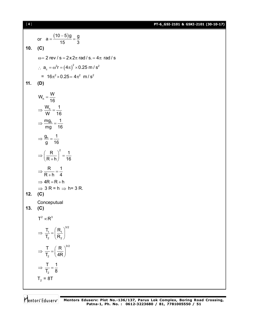**PT-6\_GSI-2101 & GSKI-2101 (30-10-17)**

or 
$$
a = \frac{(10-5)g}{15} = \frac{g}{3}
$$
  
\n10. (C)  
\n $\omega = 2 \text{ rev/s} = 2 \times 2\pi \text{ rad/s} = 4\pi \text{ rad/s}$   
\n $\therefore a_e = \omega^2 r = (4\pi)^2 \times 0.25 \text{ m/s}^2$   
\n $= 16\pi^2 \times 0.25 = 4\pi^2 \text{ m/s}^2$   
\n11. (D)  
\n $W_h = \frac{W}{16}$   
\n $\Rightarrow \frac{W_h}{W} = \frac{1}{16}$   
\n $\Rightarrow \frac{mgh}{mg} = \frac{1}{16}$   
\n $\Rightarrow \frac{g_h}{g} = \frac{1}{16}$   
\n $\Rightarrow \frac{R}{(R+h)}^2 = \frac{1}{16}$   
\n $\Rightarrow \frac{R}{R+h} = \frac{1}{4}$   
\n $\Rightarrow 3R = h \Rightarrow h = 3R$ .  
\n12. (C)  
\nConceptural  
\n13. (C)  
\n $T^2 \propto R^3$   
\n $\Rightarrow \frac{T}{T_2} = (\frac{R_1}{R_2})^{3/2}$   
\n $\Rightarrow \frac{T}{T_2} = (\frac{R}{4R})^{3/2}$   
\n $\Rightarrow \frac{T}{T_2} = (\frac{R}{4R})^{3/2}$   
\n $\Rightarrow \frac{T}{T_2} = 1$   
\n $\frac{1}{2} = 8T$ 

[ **4** ]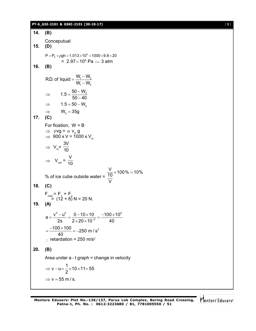#### **PT-6\_GSI-2101 & GSKI-2101 (30-10-17)** [ **5** ]

**14. (B) Conceputual 15. (D)**  $P = P_0 + \rho gh = 1.013 \times 10^5 + 1000 \times 9.8 \times 20$ =  $2.97 \times 10^5$  Pa  $\simeq$  3 atm **16. (B)**  $1$   $\cdot$   $\cdot$   $2$ 1 3 R.D. of liquid =  $\frac{W_1 - W_2}{W_1 - W_2}$  $\mathsf{W}_{\scriptscriptstyle{1}}\!-\!\mathsf{W}_{\scriptscriptstyle{2}}$  $=\frac{W_1 - W_2}{W_1 - W_2}$  $\overline{\phantom{0}}$  $1.5 = \frac{50 - W_2}{50 - 12}$  $50 - 40$  $\Rightarrow$  1.5 =  $\frac{50}{50}$  $\overline{a}$  $\Rightarrow$  1.5 = 50 – W<sub>2</sub>  $\Rightarrow$   $W_2 = 35g$ **17. (C)** For floation, W = B  $\Rightarrow$   $\rho$ vg =  $\sigma$  v<sub>in</sub> g  $\Rightarrow$  900 x V = 1000 x V<sub>in</sub>  $\Rightarrow V_{in}$ = 3V 10  $\Rightarrow V_{\text{out}} =$ V 10 % of ice cube outside water =  $\frac{\text{V}}{10}$  × 100% = 10% V  $\times$ 100% = 1 **18. (C)**  $F_{\text{max}} = F_1 + F_2$  $= (12 + 8) N = 20 N$ . **19. (A)** 2  $(2, 0, 10, 10, 10, 100, 10^2)$ 2  $a = \frac{v^2 - u^2}{2s} = \frac{0 - 10 \times 10}{2 \times 20 \times 10^{-2}} = \frac{-100 \times 10}{40}$  $=\frac{v^2-u^2}{2}=\frac{0-10\times10}{2\times10^{-2}}=\frac{-100\times10}{2\times10^{-2}}$  $\times$  20  $\times$  1  $\frac{100 \times 100}{10} = -250 \text{ m/s}^2$ 40  $=\frac{-100\times100}{10}=-2$ retardation =  $250 \text{ m/s}^2$ **20. (B)** Area under a - t graph = change in velocity v – u =  $\frac{1}{2}$  × 10 × 11 = 55 2  $\Rightarrow$  v – u =  $\frac{1}{2} \times 10 \times 11$  = 5  $\Rightarrow$  v = 55 m/s.

Mentors Eduserv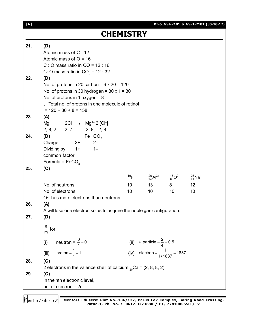|     |                                                                                                                                                                                                                                              | <b>CHEMISTRY</b>      |                                                                                 |                         |          |  |  |  |  |
|-----|----------------------------------------------------------------------------------------------------------------------------------------------------------------------------------------------------------------------------------------------|-----------------------|---------------------------------------------------------------------------------|-------------------------|----------|--|--|--|--|
| 21. | (D)<br>Atomic mass of C= 12<br>Atomic mass of $O = 16$<br>C: O mass ratio in $CO = 12:16$<br>C: O mass ratio in CO <sub>2</sub> = 12 : 32                                                                                                    |                       |                                                                                 |                         |          |  |  |  |  |
| 22. | (D)<br>No. of protons in 20 carbon = $6 \times 20 = 120$<br>No. of protons in 30 hydrogen = $30 \times 1 = 30$<br>No. of protons in 1 oxygen = $8$<br>$\therefore$ Total no. of protons in one molecule of retinol<br>$= 120 + 30 + 8 = 158$ |                       |                                                                                 |                         |          |  |  |  |  |
| 23. | (A)<br>Mg + 2Cl $\rightarrow$ Mg <sup>2+</sup> 2 [Cl <sup>-</sup> ]<br>2, 8, 2 2, 7 2, 8, 2, 8                                                                                                                                               |                       |                                                                                 |                         |          |  |  |  |  |
| 24. | Fe $CO3$<br>(D)<br>Charge<br>$2+$<br>$2 -$<br>Dividing by $1+$ 1-<br>common factor<br>Formula = $FeCO3$                                                                                                                                      |                       |                                                                                 |                         |          |  |  |  |  |
| 25. | (C)                                                                                                                                                                                                                                          |                       |                                                                                 |                         |          |  |  |  |  |
|     | No. of neutrons<br>No. of electrons<br>$O2$ has more electrons than neutrons.                                                                                                                                                                | 10 <sup>°</sup><br>10 | $^{19}_{9}F^{-}$ $^{26}_{13}Al^{3+}$ $^{16}_{8}O^{2-}$ $^{23}_{11}Na^{+}$<br>10 | 13 8<br>10 <sup>°</sup> | 12<br>10 |  |  |  |  |
| 26. | (A)<br>A will lose one electron so as to acquire the noble gas configuration.                                                                                                                                                                |                       |                                                                                 |                         |          |  |  |  |  |
| 27. | (D)                                                                                                                                                                                                                                          |                       |                                                                                 |                         |          |  |  |  |  |
|     | $\frac{e}{m}$ for                                                                                                                                                                                                                            |                       |                                                                                 |                         |          |  |  |  |  |
|     | neutron = $\frac{0}{1}$ = 0<br>(i)                                                                                                                                                                                                           |                       | (ii) $\alpha$ particle = $\frac{2}{4}$ = 0.5                                    |                         |          |  |  |  |  |
|     | proton = $\frac{1}{1}$ = 1<br>(iii)                                                                                                                                                                                                          |                       | (iv) electron = $\frac{1}{1/1837}$ = 1837                                       |                         |          |  |  |  |  |
| 28. | (C)                                                                                                                                                                                                                                          |                       |                                                                                 |                         |          |  |  |  |  |
| 29. | 2 electrons in the valence shell of calcium $_{20}$ Ca = (2, 8, 8, 2)<br>(C)<br>In the nth electronic level,<br>no. of electron = $2n^2$                                                                                                     |                       |                                                                                 |                         |          |  |  |  |  |

**Mentors Eduserv: Plot No.-136/137, Parus Lok Complex, Boring Road Crossing, Patna-1, Ph. No. : 0612-3223680 / 81, 7781005550 / 51**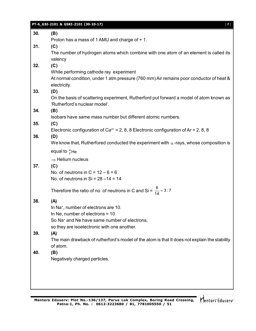|     | PT-6_GSI-2101 & GSKI-2101 (30-10-17)<br>$\lceil 7 \rceil$                                               |
|-----|---------------------------------------------------------------------------------------------------------|
| 30. | (B)                                                                                                     |
|     | Proton has a mass of 1 AMU and charge of + 1.                                                           |
| 31. | (C)                                                                                                     |
|     | The number of hydrogen atoms which combine with one atom of an element is called its                    |
|     | valency                                                                                                 |
| 32. | (C)                                                                                                     |
|     | While performing cathode ray experiment                                                                 |
|     | At normal condition, under 1 atm pressure (760 mm) Air remains poor conductor of heat &<br>electricity. |
| 33. | (D)                                                                                                     |
|     | On the basis of scattering experiment, Rutherford put forward a model of atom known as                  |
|     | 'Rutherford's nuclear model'.                                                                           |
| 34. | (B)                                                                                                     |
|     | Isobars have same mass number but different atomic numbers.                                             |
| 35. | (C)                                                                                                     |
|     | Electronic configuration of $Ca^{2+} = 2$ , 8, 8 Electronic configuration of Ar = 2, 8, 8               |
| 36. | (D)                                                                                                     |
|     | We know that, Rutherfored conducted the experiment with $\alpha$ -rays, whose composition is            |
|     | equal to $\frac{4}{2}$ He                                                                               |
|     | $\Rightarrow$ Helium nucleus                                                                            |
| 37. | (C)                                                                                                     |
|     | No. of neutrons in $C = 12 - 6 = 6$                                                                     |
|     | No. of neutrons in $Si = 28 - 14 = 14$                                                                  |
|     | Therefore the ratio of no. of neutrons in C and Si = $\frac{6}{14}$ = 3:7                               |
|     |                                                                                                         |
| 38. | (A)                                                                                                     |
|     | In Na <sup>+</sup> , number of electrons are 10.                                                        |
|     | In Ne, number of electrons $= 10$<br>So Na <sup>+</sup> and Ne have same number of electrons,           |
|     | so they are isoelectronic with one another.                                                             |
| 39. | (A)                                                                                                     |
|     | The main drawback of rutherford's model of the atom is that It does not explain the stability           |
|     | of atom.                                                                                                |
| 40. | (B)                                                                                                     |
|     | Negatively charged particles.                                                                           |
|     |                                                                                                         |
|     |                                                                                                         |
|     |                                                                                                         |
|     |                                                                                                         |

Mentors Eduserv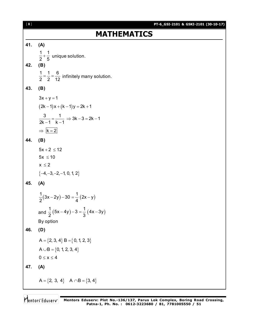[ **8** ] **41. (A)**  $1 \quad 1$  $\frac{1}{2}$  +  $\frac{1}{5}$  unique solution. **42. (B)** 1 1 6  $\frac{1}{2} = \frac{1}{2} = \frac{1}{12}$  infinitely many solution. **43. (B)**  $3x + y = 1$  $(2k - 1)x + (k - 1)y = 2k + 1$  $\frac{3}{1} = \frac{1}{1} \implies 3k - 3 = 2k - 1$  $2k - 1$   $k - 1$  $=\frac{1}{2} \Rightarrow 3k - 3 = 2k - 1$  $-1$  k  $-1$  $\Rightarrow$   $\overline{k = 2}$ **44. (B)**  $5x + 2 \le 12$  $5x \leq 10$  $x \leq 2$  $\{-4, -3, -2, -1, 0, 1, 2\}$ **45. (A)**  $\frac{1}{2}$  $(3x - 2y) - 30 = \frac{1}{4}(2x - y)$  $2^{(2)}$  4  $(2x) - 30 = - (2x - y)$ and  $\frac{1}{2}(5x-4y)-3=\frac{1}{2}(4x-3y)$  $2^{(2)}$  3  $(-4y) - 3 = -(4x - 3)$ By option **46. (D)**  $A = \{2, 3, 4\} B = \{0, 1, 2, 3\}$  $A \cup B = \{0, 1, 2, 3, 4\}$  $0 \leq x \leq 4$ **47. (A)**  $A = \{2, 3, 4\}$   $A \cap B = \{3, 4\}$ 

## **MATHEMATICS**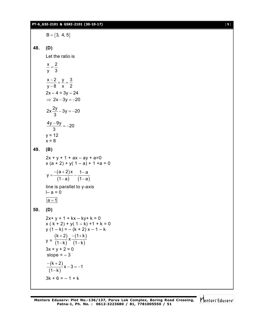#### **PT-6\_GSI-2101 & GSKI-2101 (30-10-17)** [ **9** ]

 $B = \{3, 4, 5\}$ **48. (D)** Let the ratio is x 2 y 3  $=$  $x-2$  y 3 y 8 x 2  $\frac{-2}{2} = \frac{y}{z} = \frac{z}{z}$  $\overline{\phantom{a}}$  $2x - 4 = 3y - 24$  $\Rightarrow$  2x - 3y = -20  $2x\frac{2y}{2} - 3y = -20$ 3 – 3y = –2  $\frac{4y-9y}{2} = -20$ 3  $\frac{-9y}{2} = -2$  $y = 12$  $x = 8$ **49. (B)**  $2x + y + 1 + ax - ay + a=0$  $x (a + 2) + y (1 - a) + 1 + a = 0$  $(a+2)$ (1-a) (1-a)  $y = \frac{-(a+2)x}{(a+2)} - \frac{1-a}{(a+2)}$ 1-a)  $(1-a)$  $=\frac{-(a+2)x}{(a+2)} - \frac{1}{(a+2)x}$ – a) (1–ε line is parallel to y-axis  $I - a = 0$  $|a=1|$ **50. (D)**  $2x+y+1+kx - ky+k = 0$  $x ( k + 2) + y ( 1 - k) + 1 + k = 0$  $y(1 - k) = -(k + 2)x - 1 - k$  $y =$  $(k+2)$  $(1 - k)$  $(1 + k)$  $(1 - k)$  $\frac{k+2}{k+1}$  x  $\frac{-(1+k)}{(k+1)}$  $(1 - k)$   $(1 - k)$  $+2)$   $-(1+k)$ –k) (1–k  $3x + y + 2 = 0$ slope  $= -3$  $(k+2)$ (1–k)  $\frac{k+2}{k+1}$  x - 3 = -1  $1 - k$  $\frac{-(k+2)}{(4-k)}x-3=-1$  $\overline{\phantom{0}}$  $3k + 6 = -1 + k$ 

Mentors<sup>e</sup> Eduserv<sup>®</sup>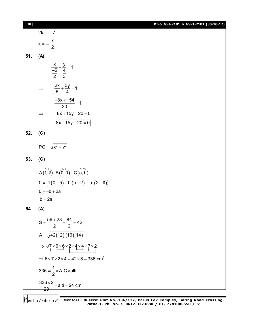| $[ 10 ]$ |                                                                                       | PT-6_GSI-2101 & GSKI-2101 (30-10-17) |
|----------|---------------------------------------------------------------------------------------|--------------------------------------|
|          | $2k = -7$                                                                             |                                      |
|          | $k = -\frac{7}{2}$                                                                    |                                      |
|          |                                                                                       |                                      |
| 51.      | (A)                                                                                   |                                      |
|          | $rac{x}{\frac{-5}{2}} + \frac{y}{4} = 1$                                              |                                      |
|          |                                                                                       |                                      |
|          | $\Rightarrow$ $\frac{2x}{5} + \frac{3y}{4} = 1$                                       |                                      |
|          | $\frac{-8x+154}{20} = 1$<br>$\Rightarrow$                                             |                                      |
|          | $-8x + 15y - 20 = 0$<br>$\Rightarrow$                                                 |                                      |
|          | $8x - 15y + 20 = 0$                                                                   |                                      |
| 52.      | (C)                                                                                   |                                      |
|          |                                                                                       |                                      |
|          | $PQ = \sqrt{x^2 + y^2}$                                                               |                                      |
| 53.      | (C)                                                                                   |                                      |
|          | A(1, 2) B(0, 0) C(a, b)                                                               |                                      |
|          | $0 = \{1(0 - \theta) + 0(b - 2) + a(2 - \theta)\}$                                    |                                      |
|          | $0 = -b + 2a$                                                                         |                                      |
|          | $b = 2a$                                                                              |                                      |
| 54.      | (A)                                                                                   |                                      |
|          | $S = \frac{56 + 28}{2} = \frac{84}{2} = 42$                                           |                                      |
|          | $A = \sqrt{42(12)(16)(14)}$                                                           |                                      |
|          | $\Rightarrow \sqrt{7 \times 6 \times 6 \times 2 \times 4 \times 4 \times 7 \times 2}$ |                                      |
|          | $\Rightarrow$ 6 x 7 x 2 x 4 = 42 x 8 = 336 cm <sup>2</sup>                            |                                      |
|          | 336 = $\frac{1}{2}$ × A C × alti                                                      |                                      |
|          | $\frac{336 \times 2}{28}$ = alti = 24 cm                                              |                                      |
|          |                                                                                       |                                      |

**Mentors Eduserv: Plot No.-136/137, Parus Lok Complex, Boring Road Crossing, Patna-1, Ph. No. : 0612-3223680 / 81, 7781005550 / 51**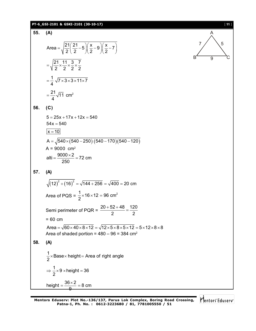#### **PT-6\_GSI-2101 & GSKI-2101 (30-10-17)** [ **11** ]

55. (A)  
\nArea = 
$$
\sqrt{\frac{21}{2}(\frac{21}{2}-5)(\frac{x}{2}-9)(\frac{x}{2}-7)}
$$
  
\n=  $\sqrt{\frac{21}{2} \times \frac{11}{2} \times \frac{3}{2} \times \frac{7}{2}}$   
\n=  $\frac{1}{4}\sqrt{7 \times 3 \times 3 \times 11 \times 7}$   
\n=  $\frac{21}{4}\sqrt{11} \text{ cm}^2$ 

$$
56. (C)
$$

$$
5 = 25x + 17x + 12x = 540
$$
  
\n
$$
54x = 540
$$
  
\n
$$
x = 10
$$
  
\n
$$
A = \sqrt{540 \times (540 - 250) (540 - 170) (540 - 120)}
$$
  
\n
$$
A = 9000 \text{ cm}^2
$$
  
\n
$$
alti = \frac{9000 \times 2}{250} = 72 \text{ cm}
$$

**57. (A)**

$$
\sqrt{(12)^2 + (16)^2} = \sqrt{144 + 256} = \sqrt{400} = 20 \text{ cm}
$$
  
Area of PQS =  $\frac{1}{2} \times 16 \times 12 = 96 \text{ cm}^2$   
Semi perimeter of PQR =  $\frac{20 + 52 + 48}{2} = \frac{120}{2}$   
= 60 cm  
Area =  $\sqrt{60 \times 40 \times 8 \times 12} = \sqrt{12 \times 5 \times 8 \times 5 \times 12} = 5 \times 12 \times 8 \times 8$   
Area of shaded portion = 480 - 96 = 384 cm<sup>2</sup>  
58. (A)  
 $\frac{1}{2} \times \text{Base} \times \text{height} = \text{Area of right angle}$   
 $\Rightarrow \frac{1}{2} \times 9 \times \text{height} = 36$   
height =  $\frac{36 \times 2}{9} = 8 \text{ cm}$ 

A

 $7 / \sqrt{5}$ 

 $B \t 9$  C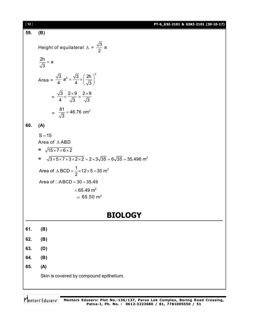**PT-6\_GSI-2101 & GSKI-2101 (30-10-17)** [ **12** ] **59. (B)** Height of equilateral  $\Delta = \frac{\sqrt{3}}{2}$  a 2  $\frac{2h}{\sqrt{2}}$  = a 3  $=$ Area =  $\frac{3}{2}$  a<sup>2</sup> =  $\frac{\sqrt{3}}{4} \times \left(\frac{2h}{\sqrt{2}}\right)^2$ 4  $4 \sqrt{3}$  $=\frac{\sqrt{3}}{4}\times\left(\frac{2h}{\sqrt{3}}\right)^2$  $=$  $3 \times 2 \times 9 \times 2 \times 9$ 4  $\sqrt{3}$   $\sqrt{3}$  $\times \frac{2\times9}{\sqrt{2}} \times \frac{2\times9}{\sqrt{2}}$  $\sim$   $\sim$   $\sim$  $\frac{81}{\sqrt{2}}$  = 46.76 cm<sup>2</sup> 3  $=$ **60. (A)**  $S = 15$ Area of  $\triangle$  ABD =  $\sqrt{15 \times 7 \times 6 \times 2}$  $=$   $\sqrt{3} \times 5 \times 7 \times 3 \times 2 \times 2 = 2 \times 3 \sqrt{35} = 6 \sqrt{35} = 35.496$  m<sup>2</sup> Area of  $\triangle$  BCD =  $\frac{1}{2} \times 12 \times 5 = 30$  m<sup>2</sup> 2  $\triangle$  BCD =  $\frac{1}{6} \times 12 \times 5 = 3$ Area of  $\Box$ ABCD = 30 + 35.49  $= 65.49 \text{ m}^2$  $\approx 65.50 \text{ m}^2$ **BIOLOGY 61. (B)**

- **62. (B)**
- **63. (D)**
- **64. (B)**
- **65. (A)**

Skin is covered by compound epithelium.